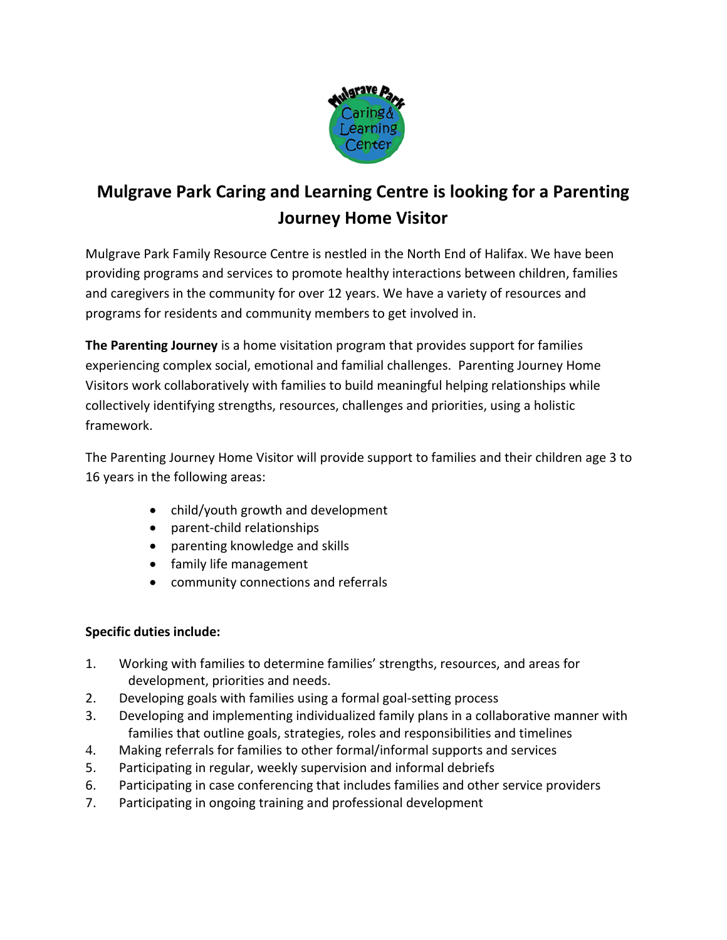

# **Mulgrave Park Caring and Learning Centre is looking for a Parenting Journey Home Visitor**

Mulgrave Park Family Resource Centre is nestled in the North End of Halifax. We have been providing programs and services to promote healthy interactions between children, families and caregivers in the community for over 12 years. We have a variety of resources and programs for residents and community members to get involved in.

**The Parenting Journey** is a home visitation program that provides support for families experiencing complex social, emotional and familial challenges. Parenting Journey Home Visitors work collaboratively with families to build meaningful helping relationships while collectively identifying strengths, resources, challenges and priorities, using a holistic framework.

The Parenting Journey Home Visitor will provide support to families and their children age 3 to 16 years in the following areas:

- child/youth growth and development
- parent-child relationships
- parenting knowledge and skills
- family life management
- community connections and referrals

## **Specific duties include:**

- 1. Working with families to determine families' strengths, resources, and areas for development, priorities and needs.
- 2. Developing goals with families using a formal goal-setting process
- 3. Developing and implementing individualized family plans in a collaborative manner with families that outline goals, strategies, roles and responsibilities and timelines
- 4. Making referrals for families to other formal/informal supports and services
- 5. Participating in regular, weekly supervision and informal debriefs
- 6. Participating in case conferencing that includes families and other service providers
- 7. Participating in ongoing training and professional development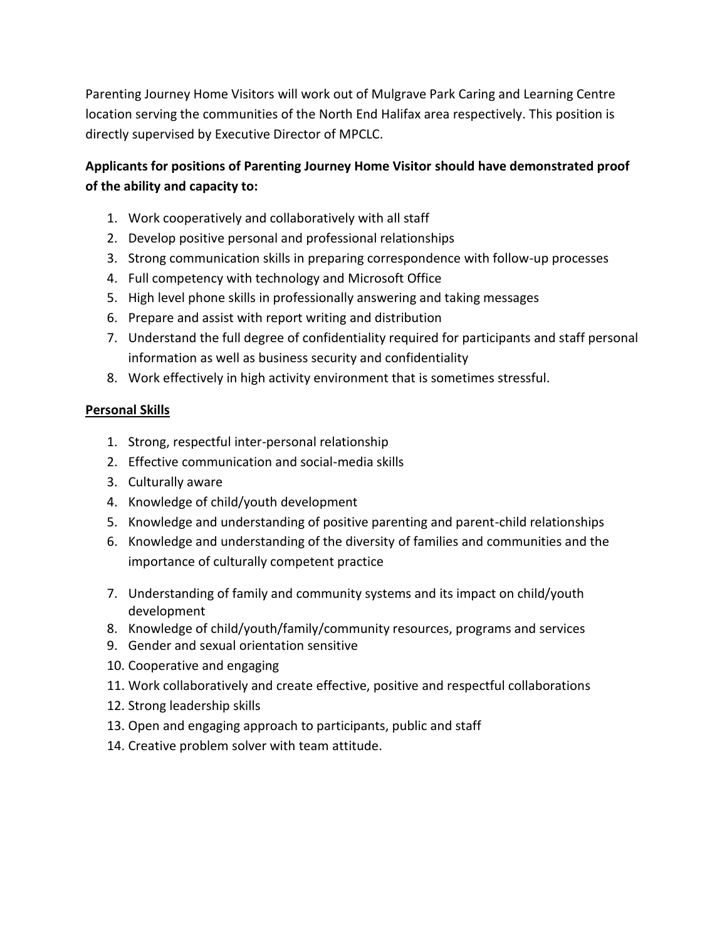Parenting Journey Home Visitors will work out of Mulgrave Park Caring and Learning Centre location serving the communities of the North End Halifax area respectively. This position is directly supervised by Executive Director of MPCLC.

## **Applicants for positions of Parenting Journey Home Visitor should have demonstrated proof of the ability and capacity to:**

- 1. Work cooperatively and collaboratively with all staff
- 2. Develop positive personal and professional relationships
- 3. Strong communication skills in preparing correspondence with follow-up processes
- 4. Full competency with technology and Microsoft Office
- 5. High level phone skills in professionally answering and taking messages
- 6. Prepare and assist with report writing and distribution
- 7. Understand the full degree of confidentiality required for participants and staff personal information as well as business security and confidentiality
- 8. Work effectively in high activity environment that is sometimes stressful.

### **Personal Skills**

- 1. Strong, respectful inter-personal relationship
- 2. Effective communication and social-media skills
- 3. Culturally aware
- 4. Knowledge of child/youth development
- 5. Knowledge and understanding of positive parenting and parent-child relationships
- 6. Knowledge and understanding of the diversity of families and communities and the importance of culturally competent practice
- 7. Understanding of family and community systems and its impact on child/youth development
- 8. Knowledge of child/youth/family/community resources, programs and services
- 9. Gender and sexual orientation sensitive
- 10. Cooperative and engaging
- 11. Work collaboratively and create effective, positive and respectful collaborations
- 12. Strong leadership skills
- 13. Open and engaging approach to participants, public and staff
- 14. Creative problem solver with team attitude.